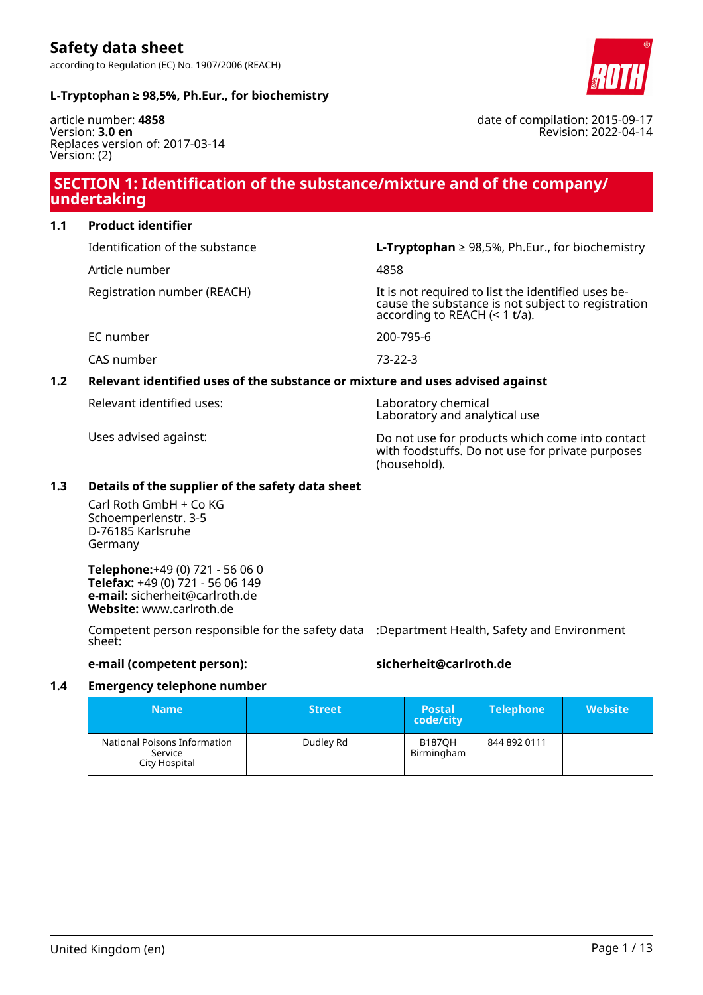

date of compilation: 2015-09-17

Revision: 2022-04-14

#### **L-Tryptophan ≥ 98,5%, Ph.Eur., for biochemistry**

article number: **4858** Version: **3.0 en** Replaces version of: 2017-03-14 Version: (2)

### **SECTION 1: Identification of the substance/mixture and of the company/ undertaking**

**1.1 Product identifier**

Article number 4858

Identification of the substance **L-Tryptophan** ≥ 98,5%, Ph.Eur., for biochemistry

Registration number (REACH) It is not required to list the identified uses because the substance is not subject to registration according to REACH (< 1 t/a).

EC number 200-795-6

CAS number 73-22-3

#### **1.2 Relevant identified uses of the substance or mixture and uses advised against**

Relevant identified uses: Laboratory chemical

Laboratory and analytical use

Uses advised against: Do not use for products which come into contact with foodstuffs. Do not use for private purposes (household).

#### **1.3 Details of the supplier of the safety data sheet**

Carl Roth GmbH + Co KG Schoemperlenstr. 3-5 D-76185 Karlsruhe Germany

**Telephone:**+49 (0) 721 - 56 06 0 **Telefax:** +49 (0) 721 - 56 06 149 **e-mail:** sicherheit@carlroth.de **Website:** www.carlroth.de

Competent person responsible for the safety data :Department Health, Safety and Environment sheet:

#### **e-mail (competent person): sicherheit@carlroth.de**

#### **1.4 Emergency telephone number**

| Mame'                                                    | <b>Street</b> | <b>Postal</b><br>code/city  | <b>Telephone</b> | <b>Website</b> |
|----------------------------------------------------------|---------------|-----------------------------|------------------|----------------|
| National Poisons Information<br>Service<br>City Hospital | Dudley Rd     | <b>B187OH</b><br>Birmingham | 844 892 0111     |                |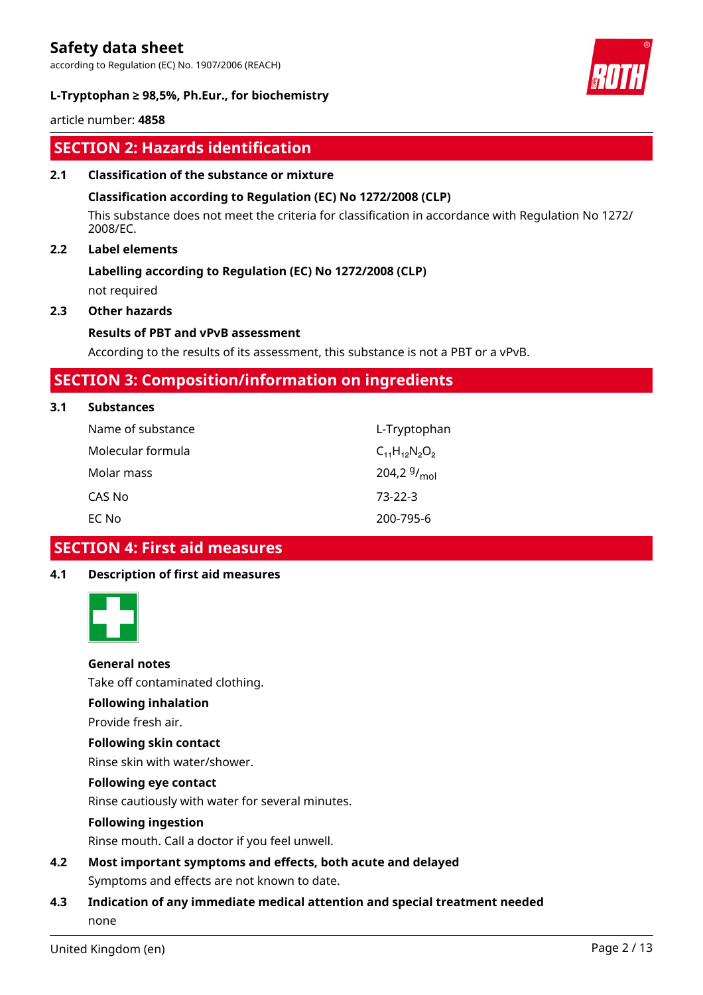according to Regulation (EC) No. 1907/2006 (REACH)



#### **L-Tryptophan ≥ 98,5%, Ph.Eur., for biochemistry**

article number: **4858**

## **SECTION 2: Hazards identification**

#### **2.1 Classification of the substance or mixture**

#### **Classification according to Regulation (EC) No 1272/2008 (CLP)**

This substance does not meet the criteria for classification in accordance with Regulation No 1272/ 2008/EC.

### **2.2 Label elements**

### **Labelling according to Regulation (EC) No 1272/2008 (CLP)**

not required

#### **2.3 Other hazards**

#### **Results of PBT and vPvB assessment**

According to the results of its assessment, this substance is not a PBT or a vPvB.

### **SECTION 3: Composition/information on ingredients**

#### **3.1 Substances**

| Name of substance | L-Tryptophan         |
|-------------------|----------------------|
| Molecular formula | $C_{11}H_{12}N_2O_2$ |
| Molar mass        | 204,2 $9/_{mol}$     |
| CAS No            | $73-22-3$            |
| EC No             | 200-795-6            |

### **SECTION 4: First aid measures**

#### **4.1 Description of first aid measures**



#### **General notes**

Take off contaminated clothing.

#### **Following inhalation**

Provide fresh air.

#### **Following skin contact**

Rinse skin with water/shower.

#### **Following eye contact**

Rinse cautiously with water for several minutes.

#### **Following ingestion**

Rinse mouth. Call a doctor if you feel unwell.

**4.2 Most important symptoms and effects, both acute and delayed** Symptoms and effects are not known to date.

### **4.3 Indication of any immediate medical attention and special treatment needed** none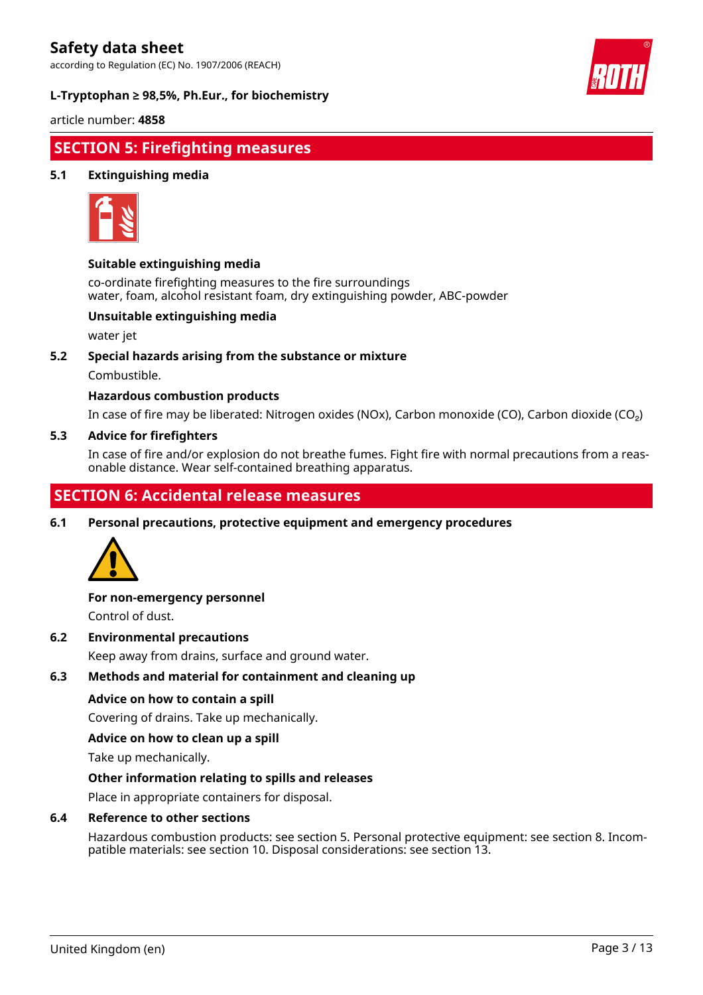according to Regulation (EC) No. 1907/2006 (REACH)

#### **L-Tryptophan ≥ 98,5%, Ph.Eur., for biochemistry**



article number: **4858**

# **SECTION 5: Firefighting measures**

#### **5.1 Extinguishing media**



#### **Suitable extinguishing media**

co-ordinate firefighting measures to the fire surroundings water, foam, alcohol resistant foam, dry extinguishing powder, ABC-powder

#### **Unsuitable extinguishing media**

water jet

#### **5.2 Special hazards arising from the substance or mixture**

Combustible.

#### **Hazardous combustion products**

In case of fire may be liberated: Nitrogen oxides (NOx), Carbon monoxide (CO), Carbon dioxide (CO₂)

#### **5.3 Advice for firefighters**

In case of fire and/or explosion do not breathe fumes. Fight fire with normal precautions from a reasonable distance. Wear self-contained breathing apparatus.

## **SECTION 6: Accidental release measures**

**6.1 Personal precautions, protective equipment and emergency procedures**



#### **For non-emergency personnel**

Control of dust.

#### **6.2 Environmental precautions**

Keep away from drains, surface and ground water.

#### **6.3 Methods and material for containment and cleaning up**

#### **Advice on how to contain a spill**

Covering of drains. Take up mechanically.

#### **Advice on how to clean up a spill**

Take up mechanically.

#### **Other information relating to spills and releases**

Place in appropriate containers for disposal.

#### **6.4 Reference to other sections**

Hazardous combustion products: see section 5. Personal protective equipment: see section 8. Incompatible materials: see section 10. Disposal considerations: see section 13.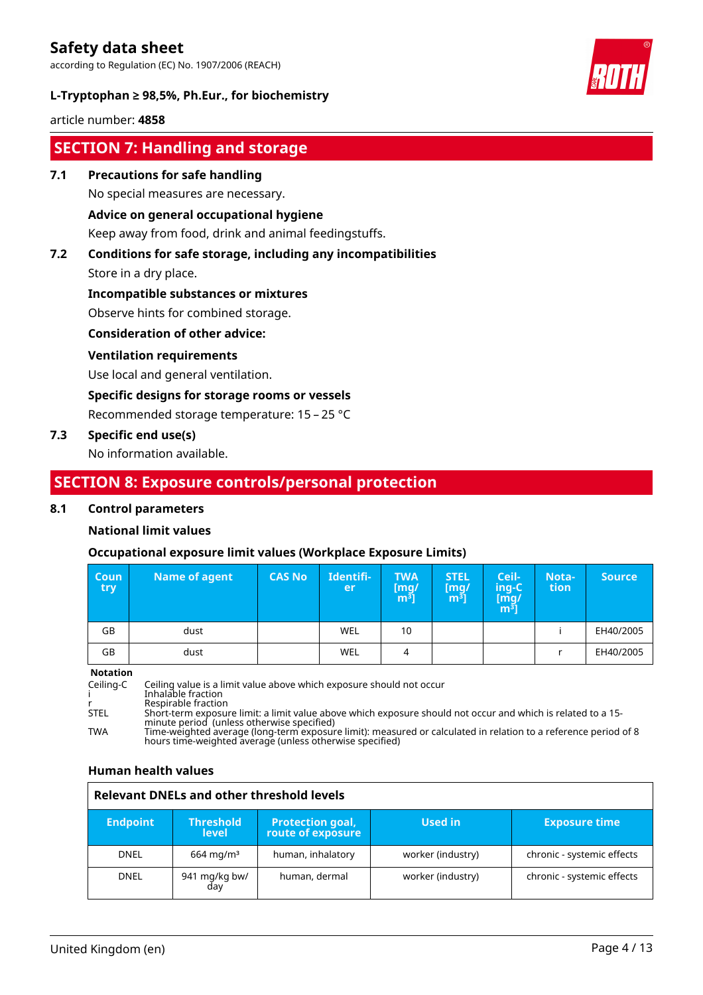according to Regulation (EC) No. 1907/2006 (REACH)



### **L-Tryptophan ≥ 98,5%, Ph.Eur., for biochemistry**

article number: **4858**

# **SECTION 7: Handling and storage**

#### **7.1 Precautions for safe handling**

No special measures are necessary.

#### **Advice on general occupational hygiene**

Keep away from food, drink and animal feedingstuffs.

# **7.2 Conditions for safe storage, including any incompatibilities**

Store in a dry place.

#### **Incompatible substances or mixtures**

Observe hints for combined storage.

#### **Consideration of other advice:**

#### **Ventilation requirements**

Use local and general ventilation.

#### **Specific designs for storage rooms or vessels**

Recommended storage temperature: 15 – 25 °C

#### **7.3 Specific end use(s)**

No information available.

### **SECTION 8: Exposure controls/personal protection**

#### **8.1 Control parameters**

#### **National limit values**

#### **Occupational exposure limit values (Workplace Exposure Limits)**

| <b>Coun</b><br>try | Name of agent | <b>CAS No</b> | Identifi-<br>er | <b>TWA</b><br>mg/<br>m <sup>3</sup> | <b>STEL</b><br>[mg]<br>m <sup>3</sup> | Ceil-<br>ing-C<br>[mg/<br>$\overline{m^3}$ | Nota-<br>tion | <b>Source</b> |
|--------------------|---------------|---------------|-----------------|-------------------------------------|---------------------------------------|--------------------------------------------|---------------|---------------|
| GB                 | dust          |               | <b>WEL</b>      | 10                                  |                                       |                                            |               | EH40/2005     |
| GB                 | dust          |               | <b>WEL</b>      | 4                                   |                                       |                                            |               | EH40/2005     |

**Notation**

Ceiling-C Ceiling value is a limit value above which exposure should not occur i Inhalable fraction r Respirable fraction STEL Short-term exposure limit: a limit value above which exposure should not occur and which is related to a 15 minute period (unless otherwise specified) TWA Time-weighted average (long-term exposure limit): measured or calculated in relation to a reference period of 8 hours time-weighted average (unless otherwise specified)

#### **Human health values**

|                 | <b>Relevant DNELs and other threshold levels</b> |                                              |                   |                            |  |  |
|-----------------|--------------------------------------------------|----------------------------------------------|-------------------|----------------------------|--|--|
| <b>Endpoint</b> | <b>Threshold</b><br><b>level</b>                 | <b>Protection goal,</b><br>route of exposure | Used in           | <b>Exposure time</b>       |  |  |
| <b>DNEL</b>     | $664 \,\mathrm{mag/m^3}$                         | human, inhalatory                            | worker (industry) | chronic - systemic effects |  |  |
| <b>DNEL</b>     | 941 mg/kg bw/<br>dav                             | human, dermal                                | worker (industry) | chronic - systemic effects |  |  |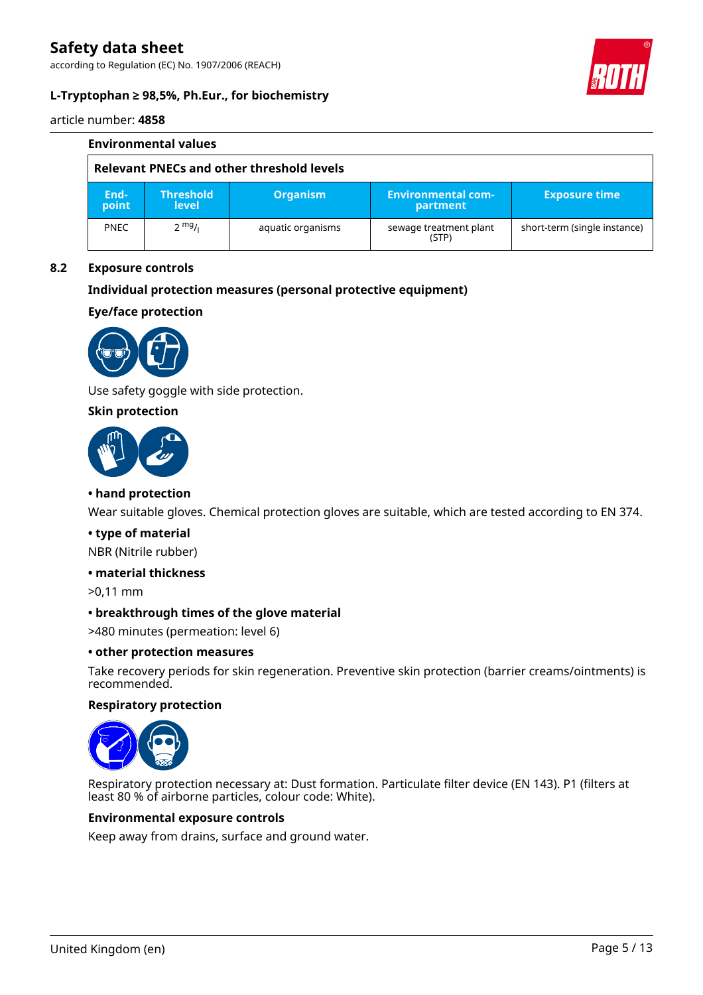according to Regulation (EC) No. 1907/2006 (REACH)



#### **L-Tryptophan ≥ 98,5%, Ph.Eur., for biochemistry**

article number: **4858**

|                                           | <b>Environmental values</b> |                                  |                   |                                       |                              |  |
|-------------------------------------------|-----------------------------|----------------------------------|-------------------|---------------------------------------|------------------------------|--|
| Relevant PNECs and other threshold levels |                             |                                  |                   |                                       |                              |  |
|                                           | End-<br>point               | <b>Threshold</b><br><b>level</b> | <b>Organism</b>   | <b>Environmental com-</b><br>partment | <b>Exposure time</b>         |  |
|                                           | <b>PNEC</b>                 | $2 \frac{mg}{l}$                 | aquatic organisms | sewage treatment plant<br>(STP)       | short-term (single instance) |  |

#### **8.2 Exposure controls**

#### **Individual protection measures (personal protective equipment)**

**Eye/face protection**



Use safety goggle with side protection.

#### **Skin protection**



#### **• hand protection**

Wear suitable gloves. Chemical protection gloves are suitable, which are tested according to EN 374.

#### **• type of material**

NBR (Nitrile rubber)

#### **• material thickness**

>0,11 mm

#### **• breakthrough times of the glove material**

>480 minutes (permeation: level 6)

#### **• other protection measures**

Take recovery periods for skin regeneration. Preventive skin protection (barrier creams/ointments) is recommended.

#### **Respiratory protection**



Respiratory protection necessary at: Dust formation. Particulate filter device (EN 143). P1 (filters at least 80 % of airborne particles, colour code: White).

#### **Environmental exposure controls**

Keep away from drains, surface and ground water.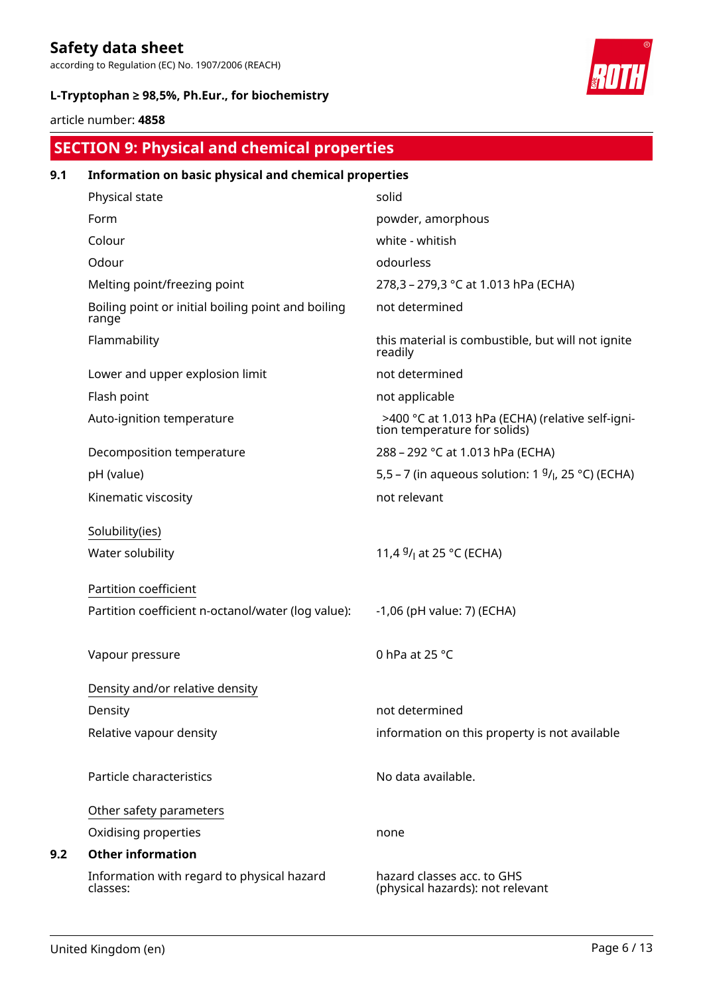according to Regulation (EC) No. 1907/2006 (REACH)

### **L-Tryptophan ≥ 98,5%, Ph.Eur., for biochemistry**



article number: **4858**

# **SECTION 9: Physical and chemical properties**

| 9.1 | Information on basic physical and chemical properties       |                                                                                  |
|-----|-------------------------------------------------------------|----------------------------------------------------------------------------------|
|     | Physical state                                              | solid                                                                            |
|     | Form                                                        | powder, amorphous                                                                |
|     | Colour                                                      | white - whitish                                                                  |
|     | Odour                                                       | odourless                                                                        |
|     | Melting point/freezing point                                | 278,3 - 279,3 °C at 1.013 hPa (ECHA)                                             |
|     | Boiling point or initial boiling point and boiling<br>range | not determined                                                                   |
|     | Flammability                                                | this material is combustible, but will not ignite<br>readily                     |
|     | Lower and upper explosion limit                             | not determined                                                                   |
|     | Flash point                                                 | not applicable                                                                   |
|     | Auto-ignition temperature                                   | >400 °C at 1.013 hPa (ECHA) (relative self-igni-<br>tion temperature for solids) |
|     | Decomposition temperature                                   | 288 - 292 °C at 1.013 hPa (ECHA)                                                 |
|     | pH (value)                                                  | 5,5 – 7 (in aqueous solution: 1 $9/1$ , 25 °C) (ECHA)                            |
|     | Kinematic viscosity                                         | not relevant                                                                     |
|     | Solubility(ies)                                             |                                                                                  |
|     | Water solubility                                            | 11,4 $9/1$ at 25 °C (ECHA)                                                       |
|     | Partition coefficient                                       |                                                                                  |
|     | Partition coefficient n-octanol/water (log value):          | -1,06 (pH value: 7) (ECHA)                                                       |
|     | Vapour pressure                                             | 0 hPa at 25 °C                                                                   |
|     | Density and/or relative density                             |                                                                                  |
|     | Density                                                     | not determined                                                                   |
|     | Relative vapour density                                     | information on this property is not available                                    |
|     | Particle characteristics                                    | No data available.                                                               |
|     | Other safety parameters                                     |                                                                                  |
|     | Oxidising properties                                        | none                                                                             |
| 9.2 | <b>Other information</b>                                    |                                                                                  |
|     | Information with regard to physical hazard<br>classes:      | hazard classes acc. to GHS<br>(physical hazards): not relevant                   |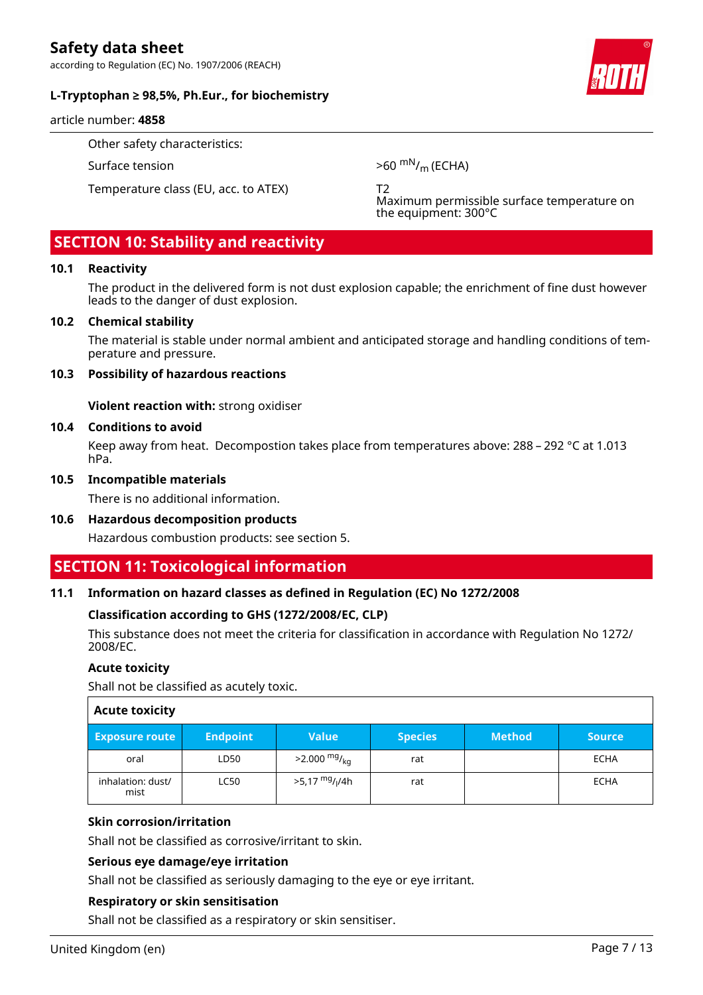according to Regulation (EC) No. 1907/2006 (REACH)

#### **L-Tryptophan ≥ 98,5%, Ph.Eur., for biochemistry**

article number: **4858**

Other safety characteristics:

Temperature class (EU, acc. to ATEX) T2

Surface tension  $>60 \text{ mN/m}$  (ECHA)

Maximum permissible surface temperature on the equipment: 300°C

# **SECTION 10: Stability and reactivity**

#### **10.1 Reactivity**

The product in the delivered form is not dust explosion capable; the enrichment of fine dust however leads to the danger of dust explosion.

#### **10.2 Chemical stability**

The material is stable under normal ambient and anticipated storage and handling conditions of temperature and pressure.

#### **10.3 Possibility of hazardous reactions**

**Violent reaction with:** strong oxidiser

#### **10.4 Conditions to avoid**

Keep away from heat. Decompostion takes place from temperatures above: 288 – 292 °C at 1.013 hPa.

#### **10.5 Incompatible materials**

There is no additional information.

#### **10.6 Hazardous decomposition products**

Hazardous combustion products: see section 5.

### **SECTION 11: Toxicological information**

#### **11.1 Information on hazard classes as defined in Regulation (EC) No 1272/2008**

#### **Classification according to GHS (1272/2008/EC, CLP)**

This substance does not meet the criteria for classification in accordance with Regulation No 1272/ 2008/EC.

#### **Acute toxicity**

Shall not be classified as acutely toxic.

| <b>Acute toxicity</b>     |                 |                                        |                |               |               |
|---------------------------|-----------------|----------------------------------------|----------------|---------------|---------------|
| <b>Exposure route</b>     | <b>Endpoint</b> | <b>Value</b>                           | <b>Species</b> | <b>Method</b> | <b>Source</b> |
| oral                      | LD50            | $>2.000$ mg/ <sub>kg</sub>             | rat            |               | <b>ECHA</b>   |
| inhalation: dust/<br>mist | <b>LC50</b>     | >5,17 <sup>mg</sup> / <sub>l</sub> /4h | rat            |               | <b>ECHA</b>   |

#### **Skin corrosion/irritation**

Shall not be classified as corrosive/irritant to skin.

#### **Serious eye damage/eye irritation**

Shall not be classified as seriously damaging to the eye or eye irritant.

#### **Respiratory or skin sensitisation**

Shall not be classified as a respiratory or skin sensitiser.

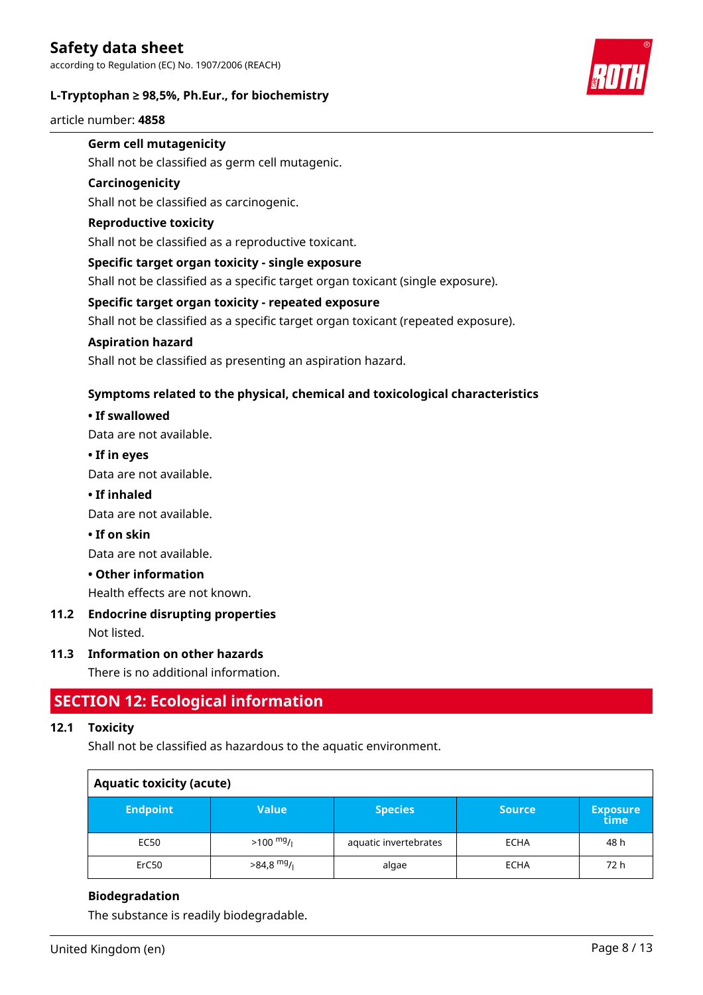#### **L-Tryptophan ≥ 98,5%, Ph.Eur., for biochemistry**



article number: **4858**

### **Germ cell mutagenicity**

Shall not be classified as germ cell mutagenic.

#### **Carcinogenicity**

Shall not be classified as carcinogenic.

#### **Reproductive toxicity**

Shall not be classified as a reproductive toxicant.

#### **Specific target organ toxicity - single exposure**

Shall not be classified as a specific target organ toxicant (single exposure).

#### **Specific target organ toxicity - repeated exposure**

Shall not be classified as a specific target organ toxicant (repeated exposure).

#### **Aspiration hazard**

Shall not be classified as presenting an aspiration hazard.

#### **Symptoms related to the physical, chemical and toxicological characteristics**

#### **• If swallowed**

Data are not available.

#### **• If in eyes**

Data are not available.

#### **• If inhaled**

Data are not available.

#### **• If on skin**

Data are not available.

#### **• Other information**

Health effects are not known.

# **11.2 Endocrine disrupting properties**

Not listed.

#### **11.3 Information on other hazards**

There is no additional information.

### **SECTION 12: Ecological information**

#### **12.1 Toxicity**

Shall not be classified as hazardous to the aquatic environment.

| <b>Aquatic toxicity (acute)</b> |                     |                       |               |                         |
|---------------------------------|---------------------|-----------------------|---------------|-------------------------|
| <b>Endpoint</b>                 | <b>Value</b>        | <b>Species</b>        | <b>Source</b> | <b>Exposure</b><br>time |
| EC50                            | $>100 \frac{mg}{l}$ | aquatic invertebrates | <b>ECHA</b>   | 48 h                    |
| ErC50                           | $>84.8$ mg/         | algae                 | <b>ECHA</b>   | 72 h                    |

#### **Biodegradation**

The substance is readily biodegradable.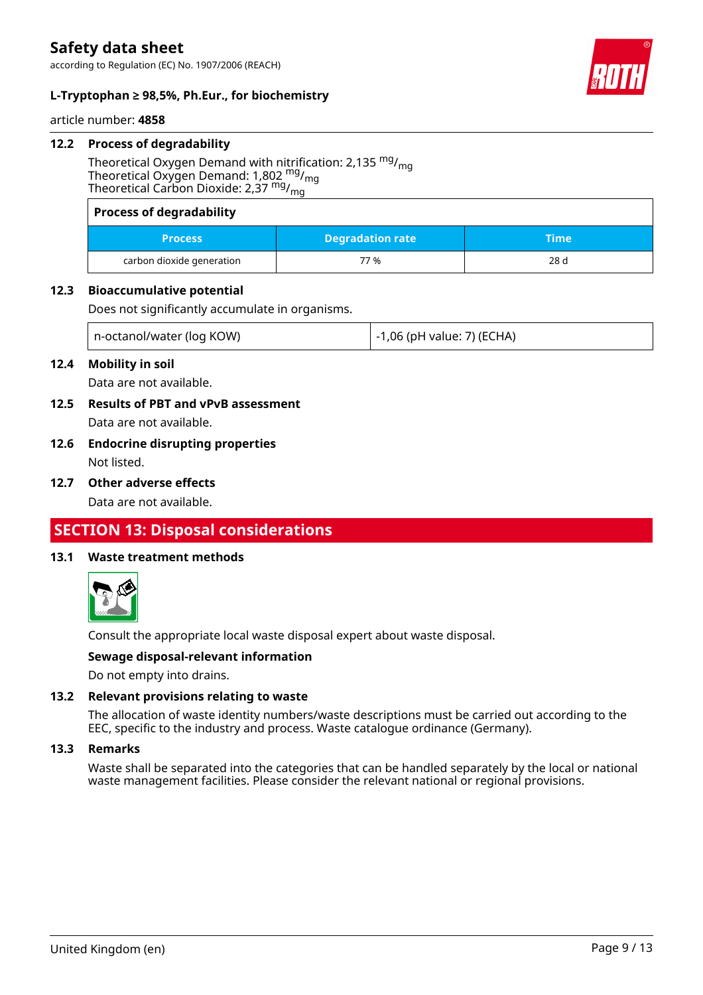according to Regulation (EC) No. 1907/2006 (REACH)



#### **L-Tryptophan ≥ 98,5%, Ph.Eur., for biochemistry**

article number: **4858**

#### **12.2 Process of degradability**

Theoretical Oxygen Demand with nitrification: 2,135  $mg/m<sub>g</sub>$ Theoretical Oxygen Demand: 1,802  $mg/m<sub>g</sub>$ Theoretical Carbon Dioxide: 2,37 mg/mg

| <b>Process of degradability</b> |                         |      |  |
|---------------------------------|-------------------------|------|--|
| <b>Process</b>                  | <b>Degradation rate</b> | Time |  |
| carbon dioxide generation       | 77 %                    | 28d  |  |

#### **12.3 Bioaccumulative potential**

Does not significantly accumulate in organisms.

| n-octanol/water (log KOW) | ! -1,06 (pH value: 7) (ECHA) |
|---------------------------|------------------------------|
|---------------------------|------------------------------|

#### **12.4 Mobility in soil**

Data are not available.

- **12.5 Results of PBT and vPvB assessment** Data are not available.
- **12.6 Endocrine disrupting properties** Not listed.
- **12.7 Other adverse effects**

Data are not available.

# **SECTION 13: Disposal considerations**

#### **13.1 Waste treatment methods**



Consult the appropriate local waste disposal expert about waste disposal.

#### **Sewage disposal-relevant information**

Do not empty into drains.

#### **13.2 Relevant provisions relating to waste**

The allocation of waste identity numbers/waste descriptions must be carried out according to the EEC, specific to the industry and process. Waste catalogue ordinance (Germany).

#### **13.3 Remarks**

Waste shall be separated into the categories that can be handled separately by the local or national waste management facilities. Please consider the relevant national or regional provisions.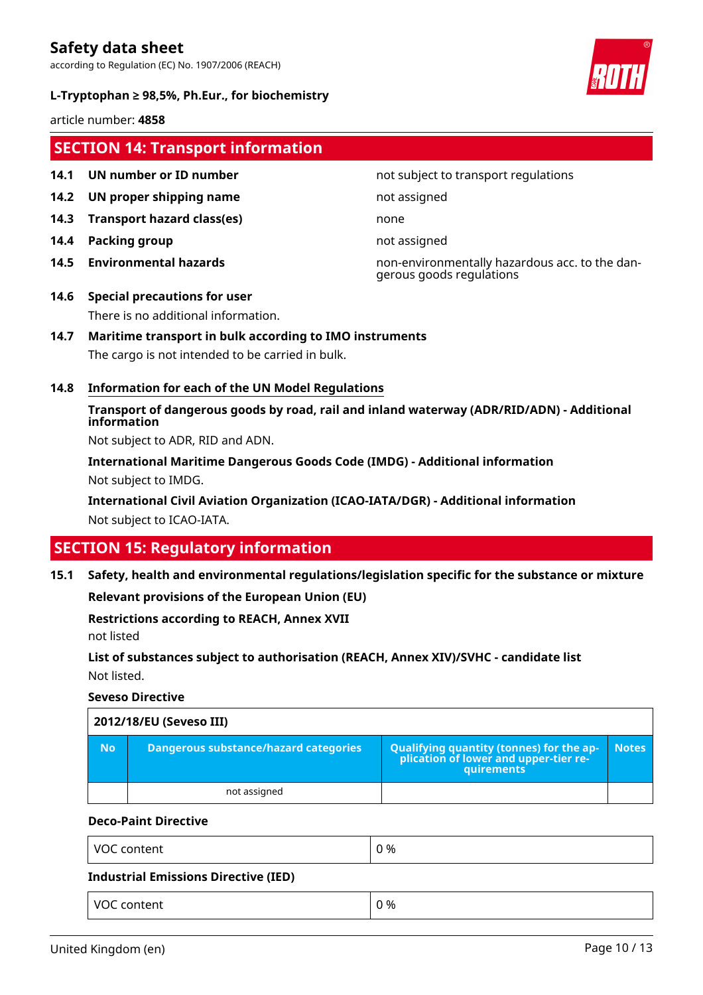according to Regulation (EC) No. 1907/2006 (REACH)





article number: **4858**

### **SECTION 14: Transport information**

- 
- **14.2 UN proper shipping name** not assigned
- **14.3 Transport hazard class(es)** none
- **14.4 Packing group not assigned**
- 

#### **14.1 UN number or ID number not subject to transport regulations**

**14.5 Environmental hazards** non-environmentally hazardous acc. to the dangerous goods regulations

### **14.6 Special precautions for user** There is no additional information.

### **14.7 Maritime transport in bulk according to IMO instruments**

The cargo is not intended to be carried in bulk.

#### **14.8 Information for each of the UN Model Regulations**

**Transport of dangerous goods by road, rail and inland waterway (ADR/RID/ADN) - Additional information**

Not subject to ADR, RID and ADN.

**International Maritime Dangerous Goods Code (IMDG) - Additional information** Not subject to IMDG.

**International Civil Aviation Organization (ICAO-IATA/DGR) - Additional information** Not subject to ICAO-IATA.

# **SECTION 15: Regulatory information**

**15.1 Safety, health and environmental regulations/legislation specific for the substance or mixture**

**Relevant provisions of the European Union (EU)**

#### **Restrictions according to REACH, Annex XVII**

not listed

**List of substances subject to authorisation (REACH, Annex XIV)/SVHC - candidate list** Not listed.

#### **Seveso Directive**

| 2012/18/EU (Seveso III) |                                       |                                                                                            |              |  |  |
|-------------------------|---------------------------------------|--------------------------------------------------------------------------------------------|--------------|--|--|
| <b>No</b>               | Dangerous substance/hazard categories | Qualifying quantity (tonnes) for the application of lower and upper-tier re-<br>quirements | <b>Notes</b> |  |  |
|                         | not assigned                          |                                                                                            |              |  |  |

#### **Deco-Paint Directive**

| VOC content                          | 0 % |
|--------------------------------------|-----|
| Industrial Emissions Directive (IED) |     |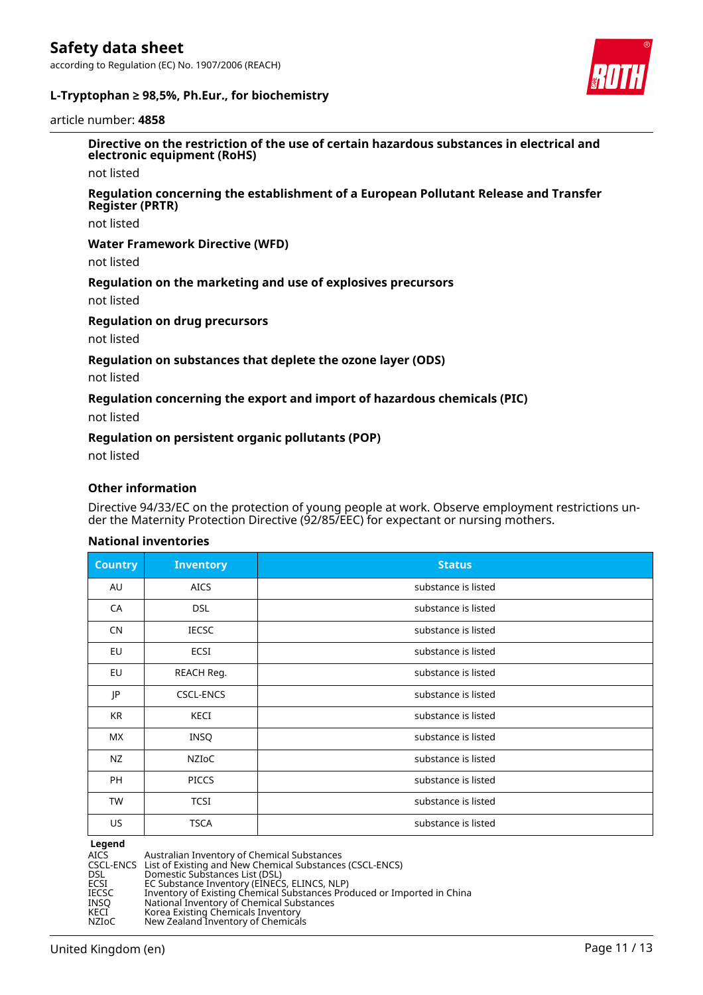according to Regulation (EC) No. 1907/2006 (REACH)



#### **L-Tryptophan ≥ 98,5%, Ph.Eur., for biochemistry**

article number: **4858**

**Directive on the restriction of the use of certain hazardous substances in electrical and electronic equipment (RoHS)**

not listed

#### **Regulation concerning the establishment of a European Pollutant Release and Transfer Register (PRTR)**

not listed

#### **Water Framework Directive (WFD)**

not listed

#### **Regulation on the marketing and use of explosives precursors**

not listed

#### **Regulation on drug precursors**

not listed

#### **Regulation on substances that deplete the ozone layer (ODS)**

not listed

#### **Regulation concerning the export and import of hazardous chemicals (PIC)**

not listed

#### **Regulation on persistent organic pollutants (POP)**

not listed

#### **Other information**

Directive 94/33/EC on the protection of young people at work. Observe employment restrictions under the Maternity Protection Directive (92/85/EEC) for expectant or nursing mothers.

#### **National inventories**

| <b>Country</b> | <b>Inventory</b> | <b>Status</b>       |
|----------------|------------------|---------------------|
| AU             | <b>AICS</b>      | substance is listed |
| CA             | <b>DSL</b>       | substance is listed |
| <b>CN</b>      | <b>IECSC</b>     | substance is listed |
| EU             | ECSI             | substance is listed |
| EU             | REACH Reg.       | substance is listed |
| JP             | <b>CSCL-ENCS</b> | substance is listed |
| KR             | KECI             | substance is listed |
| МX             | <b>INSQ</b>      | substance is listed |
| NZ             | NZIOC            | substance is listed |
| <b>PH</b>      | <b>PICCS</b>     | substance is listed |
| <b>TW</b>      | <b>TCSI</b>      | substance is listed |
| US             | <b>TSCA</b>      | substance is listed |

**Legend**<br>AICS<br>CSCL-ENCS AICS Australian Inventory of Chemical Substances CSCL-ENCS List of Existing and New Chemical Substances (CSCL-ENCS) DSL Domestic Substances List (DSL) ECSI EC Substance Inventory (EINECS, ELINCS, NLP) IECSC Inventory of Existing Chemical Substances Produced or Imported in China INSQ National Inventory of Chemical Substances KECI Korea Existing Chemicals Inventory NZIoC New Zealand Inventory of Chemicals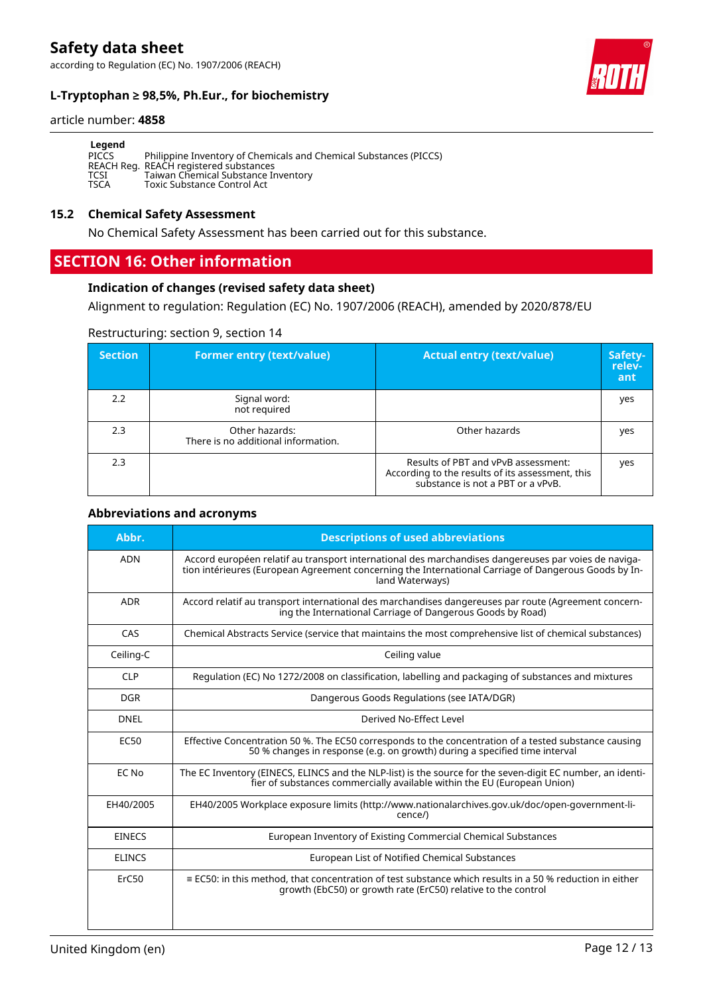according to Regulation (EC) No. 1907/2006 (REACH)





#### article number: **4858**

| Legend      |                                                                   |
|-------------|-------------------------------------------------------------------|
| PICCS       | Philippine Inventory of Chemicals and Chemical Substances (PICCS) |
|             | REACH Reg. REACH registered substances                            |
| TCSI        | Taiwan Chemical Substance Inventory                               |
| <b>TSCA</b> | Toxic Substance Control Act                                       |

#### **15.2 Chemical Safety Assessment**

No Chemical Safety Assessment has been carried out for this substance.

# **SECTION 16: Other information**

#### **Indication of changes (revised safety data sheet)**

Alignment to regulation: Regulation (EC) No. 1907/2006 (REACH), amended by 2020/878/EU

#### Restructuring: section 9, section 14

| <b>Section</b> | <b>Former entry (text/value)</b>                      | <b>Actual entry (text/value)</b>                                                                                             | Safety-<br>relev-<br>ant |
|----------------|-------------------------------------------------------|------------------------------------------------------------------------------------------------------------------------------|--------------------------|
| 2.2            | Signal word:<br>not required                          |                                                                                                                              | yes                      |
| 2.3            | Other hazards:<br>There is no additional information. | Other hazards                                                                                                                | yes                      |
| 2.3            |                                                       | Results of PBT and vPvB assessment:<br>According to the results of its assessment, this<br>substance is not a PBT or a vPvB. | yes                      |

#### **Abbreviations and acronyms**

| Abbr.         | <b>Descriptions of used abbreviations</b>                                                                                                                                                                                       |
|---------------|---------------------------------------------------------------------------------------------------------------------------------------------------------------------------------------------------------------------------------|
| <b>ADN</b>    | Accord européen relatif au transport international des marchandises dangereuses par voies de naviga-<br>tion intérieures (European Agreement concerning the International Carriage of Dangerous Goods by In-<br>land Waterways) |
| <b>ADR</b>    | Accord relatif au transport international des marchandises dangereuses par route (Agreement concern-<br>ing the International Carriage of Dangerous Goods by Road)                                                              |
| CAS           | Chemical Abstracts Service (service that maintains the most comprehensive list of chemical substances)                                                                                                                          |
| Ceiling-C     | Ceiling value                                                                                                                                                                                                                   |
| <b>CLP</b>    | Regulation (EC) No 1272/2008 on classification, labelling and packaging of substances and mixtures                                                                                                                              |
| <b>DGR</b>    | Dangerous Goods Regulations (see IATA/DGR)                                                                                                                                                                                      |
| <b>DNEL</b>   | Derived No-Effect Level                                                                                                                                                                                                         |
| <b>EC50</b>   | Effective Concentration 50 %. The EC50 corresponds to the concentration of a tested substance causing<br>50 % changes in response (e.g. on growth) during a specified time interval                                             |
| EC No         | The EC Inventory (EINECS, ELINCS and the NLP-list) is the source for the seven-digit EC number, an identi-<br>fier of substances commercially available within the EU (European Union)                                          |
| EH40/2005     | EH40/2005 Workplace exposure limits (http://www.nationalarchives.gov.uk/doc/open-government-li-<br>cence/)                                                                                                                      |
| <b>EINECS</b> | European Inventory of Existing Commercial Chemical Substances                                                                                                                                                                   |
| <b>ELINCS</b> | European List of Notified Chemical Substances                                                                                                                                                                                   |
| ErC50         | $\equiv$ EC50: in this method, that concentration of test substance which results in a 50 % reduction in either<br>growth (EbC50) or growth rate (ErC50) relative to the control                                                |